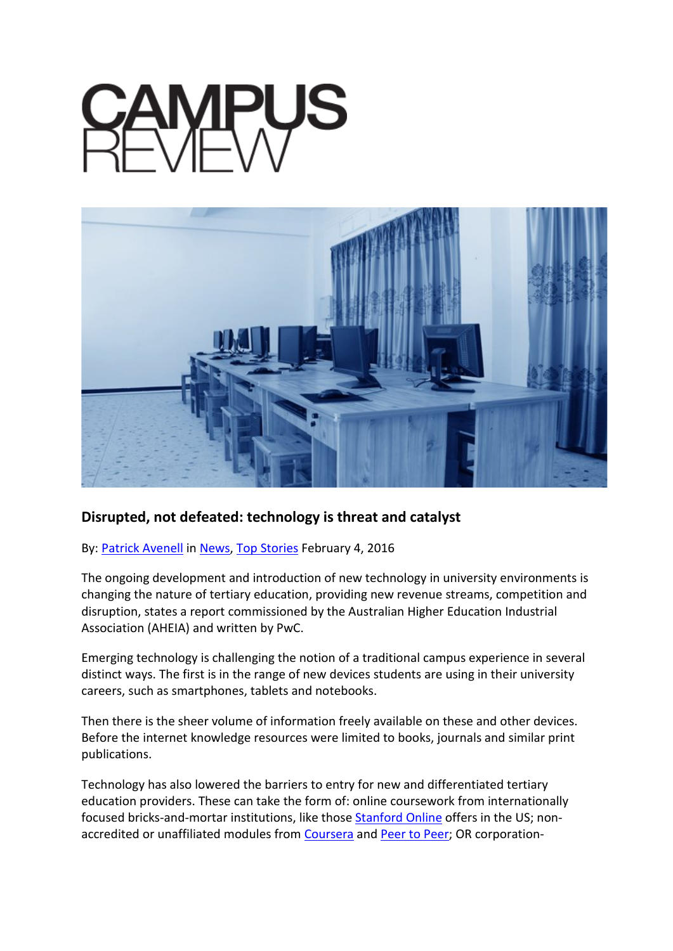

## **Disrupted, not defeated: technology is threat and catalyst**

## By: [Patrick Avenell](http://www.campusreview.com.au/author/patrickavenell/) in [News,](http://www.campusreview.com.au/category/news/) [Top Stories](http://www.campusreview.com.au/category/top-stories/) February 4, 2016

The ongoing development and introduction of new technology in university environments is changing the nature of tertiary education, providing new revenue streams, competition and disruption, states a report commissioned by the Australian Higher Education Industrial Association (AHEIA) and written by PwC.

Emerging technology is challenging the notion of a traditional campus experience in several distinct ways. The first is in the range of new devices students are using in their university careers, such as smartphones, tablets and notebooks.

Then there is the sheer volume of information freely available on these and other devices. Before the internet knowledge resources were limited to books, journals and similar print publications.

Technology has also lowered the barriers to entry for new and differentiated tertiary education providers. These can take the form of: online coursework from internationally focused bricks-and-mortar institutions, like those [Stanford Online](http://online.stanford.edu/) offers in the US; nonaccredited or unaffiliated modules from [Coursera](https://www.coursera.org/) and [Peer to Peer;](https://www.p2pu.org/en/) OR corporation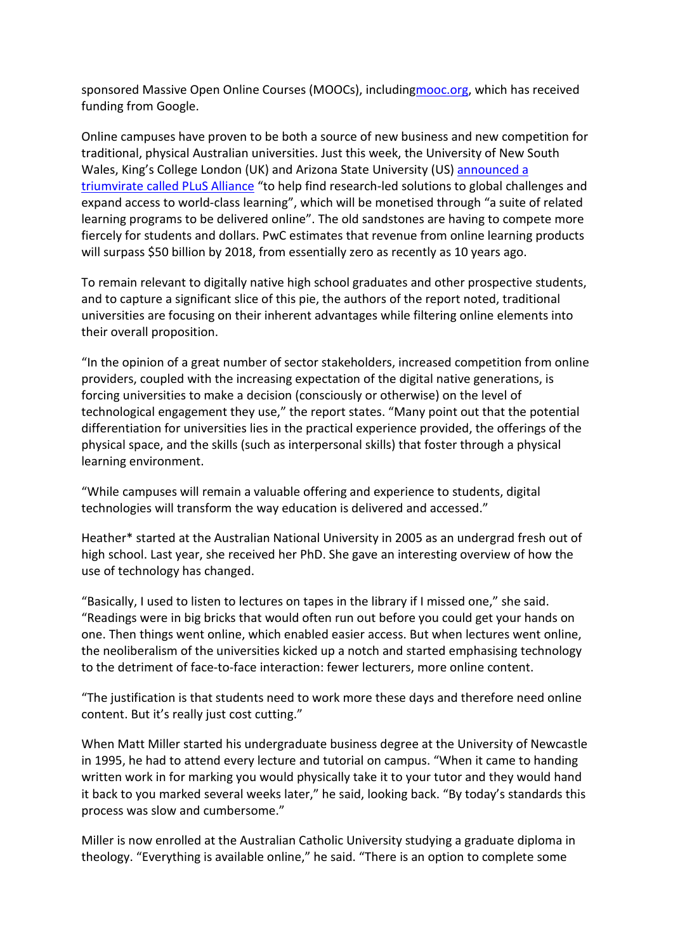sponsored Massive Open Online Courses (MOOCs), includin[gmooc.org,](http://mooc.org/) which has received funding from Google.

Online campuses have proven to be both a source of new business and new competition for traditional, physical Australian universities. Just this week, the University of New South Wales, King's College London (UK) and Arizona State University (US) [announced a](http://newsroom.unsw.edu.au/news/general/unsw-king%E2%80%99s-college-london-and-arizona-state-university-announce-global-alliance)  [triumvirate called PLuS Alliance](http://newsroom.unsw.edu.au/news/general/unsw-king%E2%80%99s-college-london-and-arizona-state-university-announce-global-alliance) "to help find research-led solutions to global challenges and expand access to world-class learning", which will be monetised through "a suite of related learning programs to be delivered online". The old sandstones are having to compete more fiercely for students and dollars. PwC estimates that revenue from online learning products will surpass \$50 billion by 2018, from essentially zero as recently as 10 years ago.

To remain relevant to digitally native high school graduates and other prospective students, and to capture a significant slice of this pie, the authors of the report noted, traditional universities are focusing on their inherent advantages while filtering online elements into their overall proposition.

"In the opinion of a great number of sector stakeholders, increased competition from online providers, coupled with the increasing expectation of the digital native generations, is forcing universities to make a decision (consciously or otherwise) on the level of technological engagement they use," the report states. "Many point out that the potential differentiation for universities lies in the practical experience provided, the offerings of the physical space, and the skills (such as interpersonal skills) that foster through a physical learning environment.

"While campuses will remain a valuable offering and experience to students, digital technologies will transform the way education is delivered and accessed."

Heather\* started at the Australian National University in 2005 as an undergrad fresh out of high school. Last year, she received her PhD. She gave an interesting overview of how the use of technology has changed.

"Basically, I used to listen to lectures on tapes in the library if I missed one," she said. "Readings were in big bricks that would often run out before you could get your hands on one. Then things went online, which enabled easier access. But when lectures went online, the neoliberalism of the universities kicked up a notch and started emphasising technology to the detriment of face-to-face interaction: fewer lecturers, more online content.

"The justification is that students need to work more these days and therefore need online content. But it's really just cost cutting."

When Matt Miller started his undergraduate business degree at the University of Newcastle in 1995, he had to attend every lecture and tutorial on campus. "When it came to handing written work in for marking you would physically take it to your tutor and they would hand it back to you marked several weeks later," he said, looking back. "By today's standards this process was slow and cumbersome."

Miller is now enrolled at the Australian Catholic University studying a graduate diploma in theology. "Everything is available online," he said. "There is an option to complete some